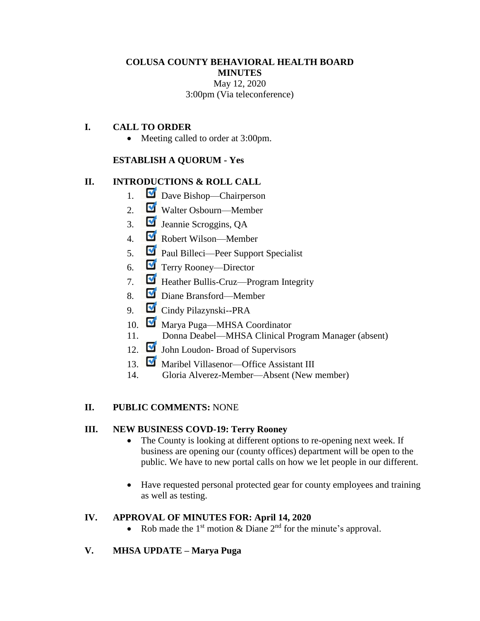## **COLUSA COUNTY BEHAVIORAL HEALTH BOARD MINUTES** May 12, 2020 3:00pm (Via teleconference)

# **I. CALL TO ORDER**

• Meeting called to order at 3:00pm.

#### **ESTABLISH A QUORUM - Yes**

### **II. INTRODUCTIONS & ROLL CALL**

- 1. Dave Bishop—Chairperson
- 2. Walter Osbourn—Member
- 3. Jeannie Scroggins, QA
- 4. Robert Wilson—Member
- 5. Paul Billeci—Peer Support Specialist
- 6. Terry Rooney—Director
- 7. Heather Bullis-Cruz—Program Integrity
- 8. Diane Bransford—Member
- 9. Cindy Pilazynski--PRA
- 10. Marya Puga—MHSA Coordinator
- 11. Donna Deabel—MHSA Clinical Program Manager (absent)
- 12. John Loudon- Broad of Supervisors
- 13. Maribel Villasenor—Office Assistant III
- 14. Gloria Alverez-Member—Absent (New member)

#### **II. PUBLIC COMMENTS:** NONE

#### **III. NEW BUSINESS COVD-19: Terry Rooney**

- The County is looking at different options to re-opening next week. If business are opening our (county offices) department will be open to the public. We have to new portal calls on how we let people in our different.
- Have requested personal protected gear for county employees and training as well as testing.

#### **IV. APPROVAL OF MINUTES FOR: April 14, 2020**

- Rob made the 1<sup>st</sup> motion & Diane  $2<sup>nd</sup>$  for the minute's approval.
- **V. MHSA UPDATE – Marya Puga**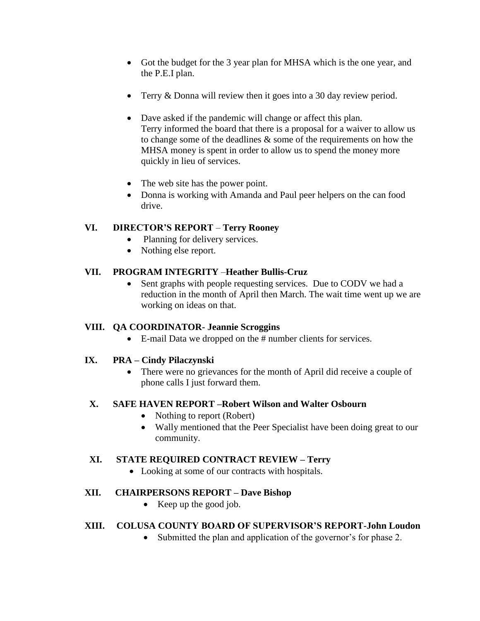- Got the budget for the 3 year plan for MHSA which is the one year, and the P.E.I plan.
- Terry & Donna will review then it goes into a 30 day review period.
- Dave asked if the pandemic will change or affect this plan. Terry informed the board that there is a proposal for a waiver to allow us to change some of the deadlines & some of the requirements on how the MHSA money is spent in order to allow us to spend the money more quickly in lieu of services.
- The web site has the power point.
- Donna is working with Amanda and Paul peer helpers on the can food drive.

# **VI. DIRECTOR'S REPORT** – **Terry Rooney**

- Planning for delivery services.
- Nothing else report.

# **VII. PROGRAM INTEGRITY** –**Heather Bullis-Cruz**

• Sent graphs with people requesting services. Due to CODV we had a reduction in the month of April then March. The wait time went up we are working on ideas on that.

### **VIII. QA COORDINATOR- Jeannie Scroggins**

E-mail Data we dropped on the # number clients for services.

# **IX. PRA – Cindy Pilaczynski**

 There were no grievances for the month of April did receive a couple of phone calls I just forward them.

### **X. SAFE HAVEN REPORT –Robert Wilson and Walter Osbourn**

- Nothing to report (Robert)
- Wally mentioned that the Peer Specialist have been doing great to our community.

### **XI. STATE REQUIRED CONTRACT REVIEW – Terry**

• Looking at some of our contracts with hospitals.

# **XII. CHAIRPERSONS REPORT – Dave Bishop**

• Keep up the good job.

# **XIII. COLUSA COUNTY BOARD OF SUPERVISOR'S REPORT-John Loudon**

Submitted the plan and application of the governor's for phase 2.